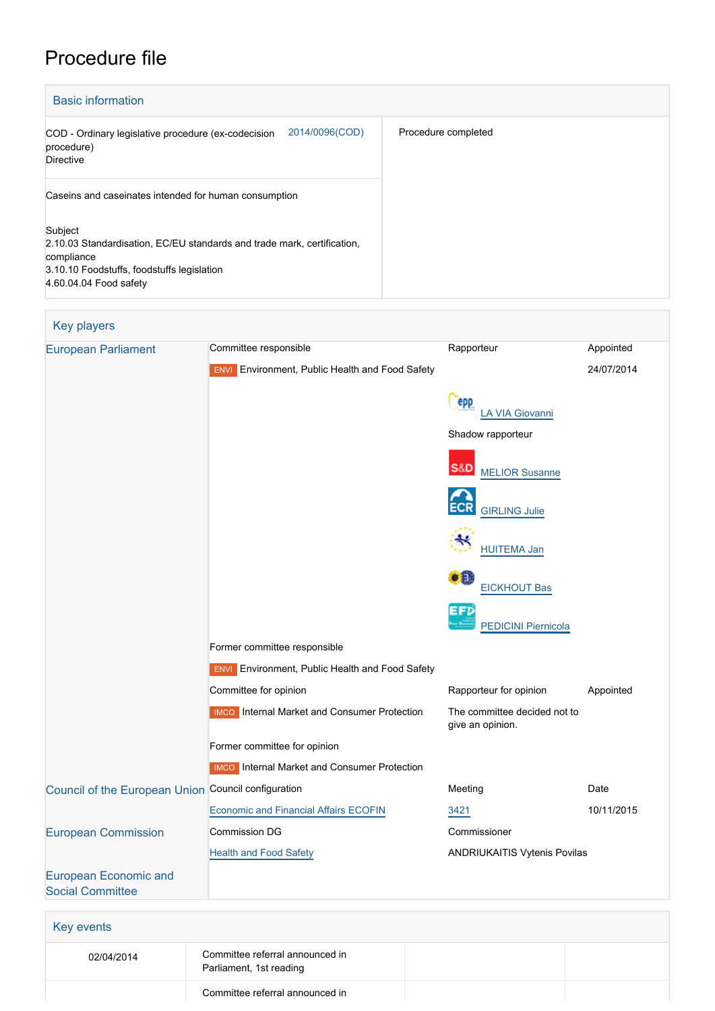# Procedure file

| <b>Basic information</b>                                                                                                                                                 |                     |  |
|--------------------------------------------------------------------------------------------------------------------------------------------------------------------------|---------------------|--|
| 2014/0096(COD)<br>COD - Ordinary legislative procedure (ex-codecision<br>procedure)<br><b>Directive</b>                                                                  | Procedure completed |  |
| Caseins and caseinates intended for human consumption                                                                                                                    |                     |  |
| Subject<br>2.10.03 Standardisation, EC/EU standards and trade mark, certification,<br>compliance<br>3.10.10 Foodstuffs, foodstuffs legislation<br>4.60.04.04 Food safety |                     |  |

## Key players

| <b>European Parliament</b>                              | Committee responsible                                  | Rapporteur                                       | Appointed  |
|---------------------------------------------------------|--------------------------------------------------------|--------------------------------------------------|------------|
|                                                         | <b>ENVI</b> Environment, Public Health and Food Safety |                                                  | 24/07/2014 |
|                                                         |                                                        | epp<br><b>LA VIA Giovanni</b>                    |            |
|                                                         |                                                        | Shadow rapporteur                                |            |
|                                                         |                                                        | <b>S&amp;D</b><br><b>MELIOR Susanne</b>          |            |
|                                                         |                                                        | <b>GIRLING Julie</b>                             |            |
|                                                         |                                                        | <b>HUITEMA Jan</b>                               |            |
|                                                         |                                                        | o ili<br><b>EICKHOUT Bas</b>                     |            |
|                                                         |                                                        | EFD<br><b>PEDICINI Piernicola</b>                |            |
|                                                         | Former committee responsible                           |                                                  |            |
|                                                         | <b>ENVI</b> Environment, Public Health and Food Safety |                                                  |            |
|                                                         | Committee for opinion                                  | Rapporteur for opinion                           | Appointed  |
|                                                         | <b>IMCO</b> Internal Market and Consumer Protection    | The committee decided not to<br>give an opinion. |            |
|                                                         | Former committee for opinion                           |                                                  |            |
|                                                         | <b>IMCO</b> Internal Market and Consumer Protection    |                                                  |            |
| Council of the European Union Council configuration     |                                                        | Meeting                                          | Date       |
|                                                         | <b>Economic and Financial Affairs ECOFIN</b>           | 3421                                             | 10/11/2015 |
| <b>European Commission</b>                              | <b>Commission DG</b>                                   | Commissioner                                     |            |
|                                                         | <b>Health and Food Safety</b>                          | ANDRIUKAITIS Vytenis Povilas                     |            |
| <b>European Economic and</b><br><b>Social Committee</b> |                                                        |                                                  |            |
| <b>Key events</b>                                       |                                                        |                                                  |            |
| 02/04/2014                                              | Committee referral announced in                        |                                                  |            |

Committee referral announced in

Parliament, 1st reading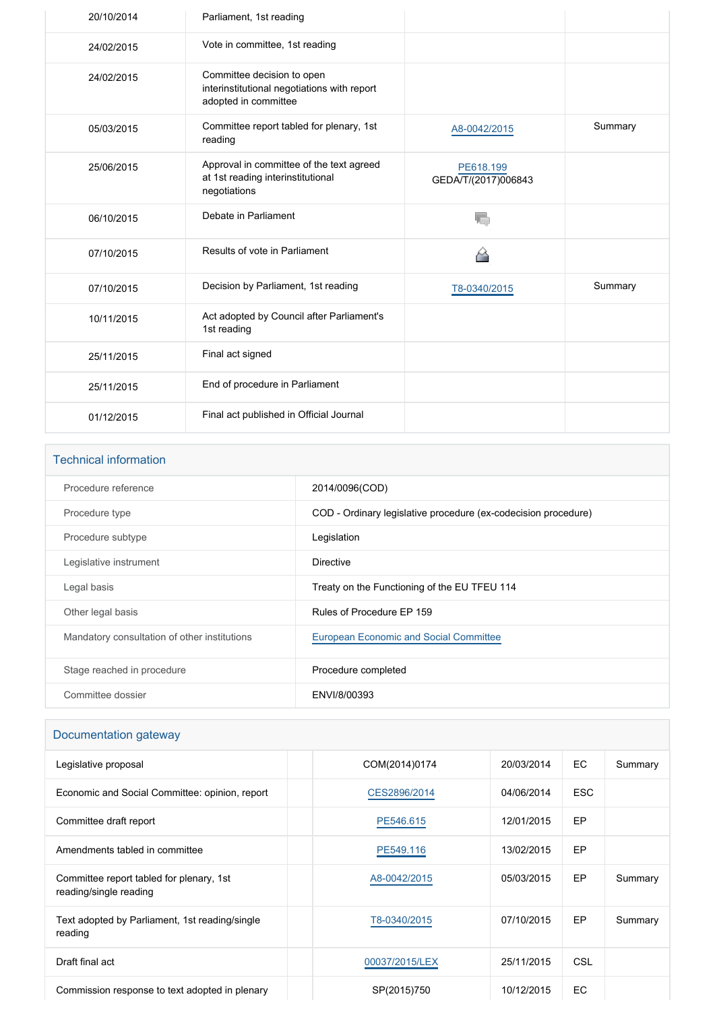| 20/10/2014 | Parliament, 1st reading                                                                           |                                  |         |
|------------|---------------------------------------------------------------------------------------------------|----------------------------------|---------|
| 24/02/2015 | Vote in committee, 1st reading                                                                    |                                  |         |
| 24/02/2015 | Committee decision to open<br>interinstitutional negotiations with report<br>adopted in committee |                                  |         |
| 05/03/2015 | Committee report tabled for plenary, 1st<br>reading                                               | A8-0042/2015                     | Summary |
| 25/06/2015 | Approval in committee of the text agreed<br>at 1st reading interinstitutional<br>negotiations     | PE618.199<br>GEDA/T/(2017)006843 |         |
| 06/10/2015 | Debate in Parliament                                                                              | 岩                                |         |
| 07/10/2015 | Results of vote in Parliament                                                                     |                                  |         |
| 07/10/2015 | Decision by Parliament, 1st reading                                                               | T8-0340/2015                     | Summary |
| 10/11/2015 | Act adopted by Council after Parliament's<br>1st reading                                          |                                  |         |
| 25/11/2015 | Final act signed                                                                                  |                                  |         |
| 25/11/2015 | End of procedure in Parliament                                                                    |                                  |         |
| 01/12/2015 | Final act published in Official Journal                                                           |                                  |         |

| <b>Technical information</b>                 |                                                                |
|----------------------------------------------|----------------------------------------------------------------|
| Procedure reference                          | 2014/0096(COD)                                                 |
| Procedure type                               | COD - Ordinary legislative procedure (ex-codecision procedure) |
| Procedure subtype                            | Legislation                                                    |
| Legislative instrument                       | Directive                                                      |
| Legal basis                                  | Treaty on the Functioning of the EU TFEU 114                   |
| Other legal basis                            | Rules of Procedure EP 159                                      |
| Mandatory consultation of other institutions | <b>European Economic and Social Committee</b>                  |
| Stage reached in procedure                   | Procedure completed                                            |
| Committee dossier                            | ENVI/8/00393                                                   |
|                                              |                                                                |

| Documentation gateway                                              |                |            |            |         |
|--------------------------------------------------------------------|----------------|------------|------------|---------|
| Legislative proposal                                               | COM(2014)0174  | 20/03/2014 | EC         | Summary |
| Economic and Social Committee: opinion, report                     | CES2896/2014   | 04/06/2014 | <b>ESC</b> |         |
| Committee draft report                                             | PE546.615      | 12/01/2015 | <b>EP</b>  |         |
| Amendments tabled in committee                                     | PE549.116      | 13/02/2015 | <b>EP</b>  |         |
| Committee report tabled for plenary, 1st<br>reading/single reading | A8-0042/2015   | 05/03/2015 | <b>EP</b>  | Summary |
| Text adopted by Parliament, 1st reading/single<br>reading          | T8-0340/2015   | 07/10/2015 | <b>EP</b>  | Summary |
| Draft final act                                                    | 00037/2015/LEX | 25/11/2015 | <b>CSL</b> |         |
| Commission response to text adopted in plenary                     | SP(2015)750    | 10/12/2015 | EC         |         |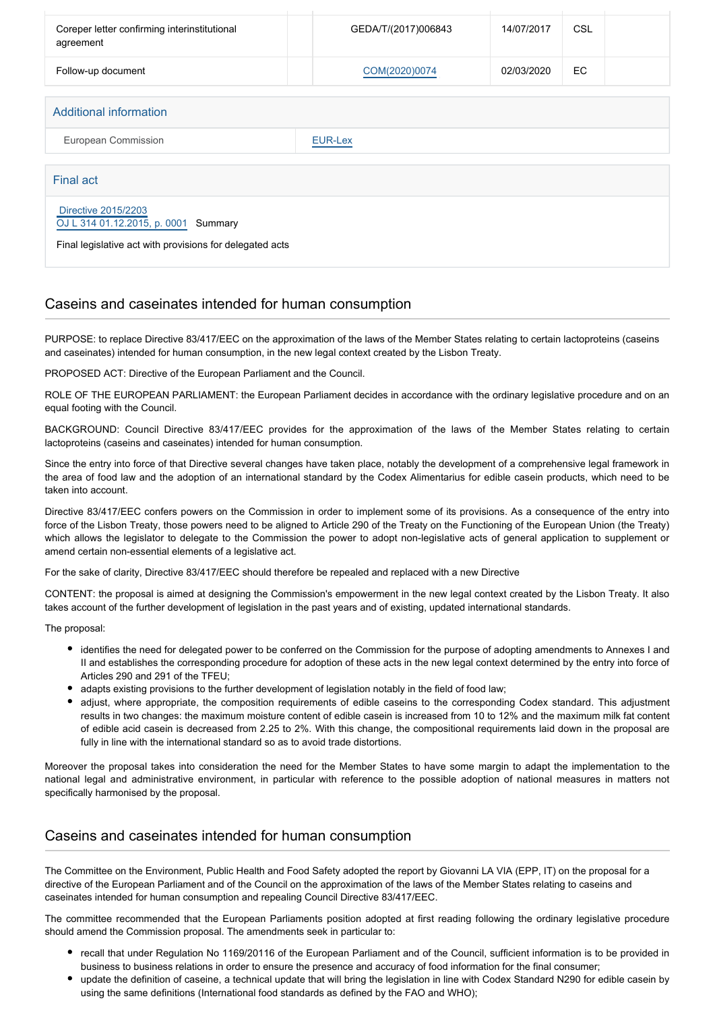| Coreper letter confirming interinstitutional<br>agreement      | GEDA/T/(2017)006843 | 14/07/2017 | <b>CSL</b> |  |
|----------------------------------------------------------------|---------------------|------------|------------|--|
| Follow-up document                                             | COM(2020)0074       | 02/03/2020 | EC.        |  |
|                                                                |                     |            |            |  |
| <b>Additional information</b>                                  |                     |            |            |  |
| European Commission                                            | <b>EUR-Lex</b>      |            |            |  |
| Final act                                                      |                     |            |            |  |
| Directive 2015/2203<br>OJ L 314 01.12.2015, p. 0001<br>Summary |                     |            |            |  |
| Final legislative act with provisions for delegated acts       |                     |            |            |  |

#### Caseins and caseinates intended for human consumption

PURPOSE: to replace Directive 83/417/EEC on the approximation of the laws of the Member States relating to certain lactoproteins (caseins and caseinates) intended for human consumption, in the new legal context created by the Lisbon Treaty.

PROPOSED ACT: Directive of the European Parliament and the Council.

ROLE OF THE EUROPEAN PARLIAMENT: the European Parliament decides in accordance with the ordinary legislative procedure and on an equal footing with the Council.

BACKGROUND: Council Directive 83/417/EEC provides for the approximation of the laws of the Member States relating to certain lactoproteins (caseins and caseinates) intended for human consumption.

Since the entry into force of that Directive several changes have taken place, notably the development of a comprehensive legal framework in the area of food law and the adoption of an international standard by the Codex Alimentarius for edible casein products, which need to be taken into account.

Directive 83/417/EEC confers powers on the Commission in order to implement some of its provisions. As a consequence of the entry into force of the Lisbon Treaty, those powers need to be aligned to Article 290 of the Treaty on the Functioning of the European Union (the Treaty) which allows the legislator to delegate to the Commission the power to adopt non-legislative acts of general application to supplement or amend certain non-essential elements of a legislative act.

For the sake of clarity, Directive 83/417/EEC should therefore be repealed and replaced with a new Directive

CONTENT: the proposal is aimed at designing the Commission's empowerment in the new legal context created by the Lisbon Treaty. It also takes account of the further development of legislation in the past years and of existing, updated international standards.

The proposal:

- identifies the need for delegated power to be conferred on the Commission for the purpose of adopting amendments to Annexes I and II and establishes the corresponding procedure for adoption of these acts in the new legal context determined by the entry into force of Articles 290 and 291 of the TFEU;
- adapts existing provisions to the further development of legislation notably in the field of food law;
- adjust, where appropriate, the composition requirements of edible caseins to the corresponding Codex standard. This adjustment results in two changes: the maximum moisture content of edible casein is increased from 10 to 12% and the maximum milk fat content of edible acid casein is decreased from 2.25 to 2%. With this change, the compositional requirements laid down in the proposal are fully in line with the international standard so as to avoid trade distortions.

Moreover the proposal takes into consideration the need for the Member States to have some margin to adapt the implementation to the national legal and administrative environment, in particular with reference to the possible adoption of national measures in matters not specifically harmonised by the proposal.

#### Caseins and caseinates intended for human consumption

The Committee on the Environment, Public Health and Food Safety adopted the report by Giovanni LA VIA (EPP, IT) on the proposal for a directive of the European Parliament and of the Council on the approximation of the laws of the Member States relating to caseins and caseinates intended for human consumption and repealing Council Directive 83/417/EEC.

The committee recommended that the European Parliaments position adopted at first reading following the ordinary legislative procedure should amend the Commission proposal. The amendments seek in particular to:

- recall that under Regulation No 1169/20116 of the European Parliament and of the Council, sufficient information is to be provided in business to business relations in order to ensure the presence and accuracy of food information for the final consumer;
- update the definition of caseine, a technical update that will bring the legislation in line with Codex Standard N290 for edible casein by using the same definitions (International food standards as defined by the FAO and WHO);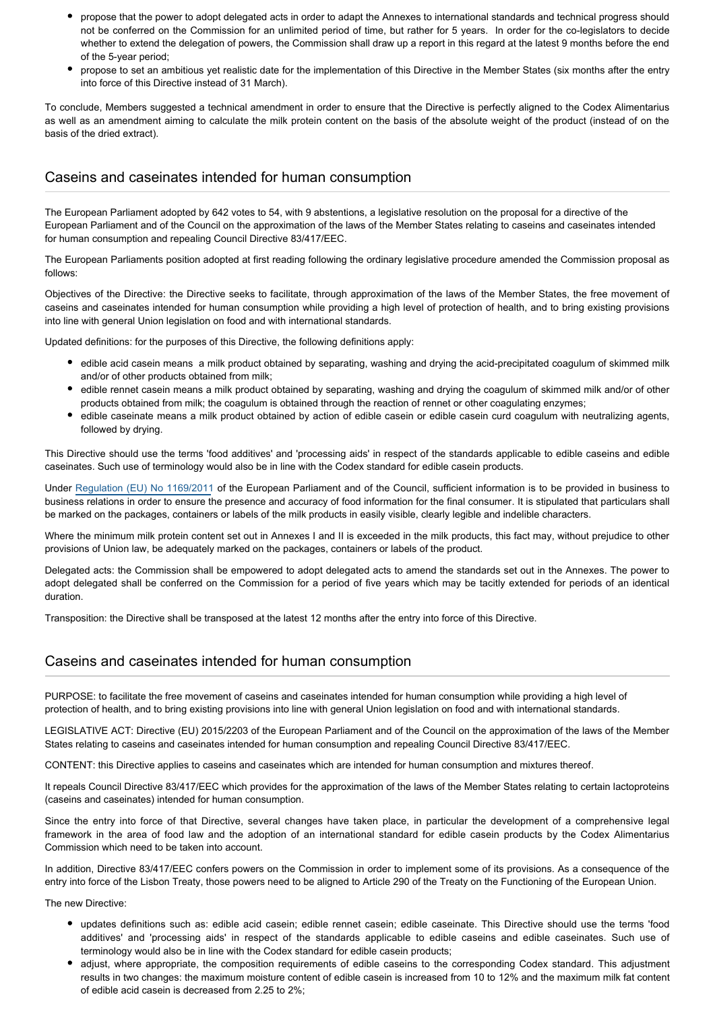- propose that the power to adopt delegated acts in order to adapt the Annexes to international standards and technical progress should not be conferred on the Commission for an unlimited period of time, but rather for 5 years. In order for the co-legislators to decide whether to extend the delegation of powers, the Commission shall draw up a report in this regard at the latest 9 months before the end of the 5-year period;
- propose to set an ambitious yet realistic date for the implementation of this Directive in the Member States (six months after the entry into force of this Directive instead of 31 March).

To conclude, Members suggested a technical amendment in order to ensure that the Directive is perfectly aligned to the Codex Alimentarius as well as an amendment aiming to calculate the milk protein content on the basis of the absolute weight of the product (instead of on the basis of the dried extract).

### Caseins and caseinates intended for human consumption

The European Parliament adopted by 642 votes to 54, with 9 abstentions, a legislative resolution on the proposal for a directive of the European Parliament and of the Council on the approximation of the laws of the Member States relating to caseins and caseinates intended for human consumption and repealing Council Directive 83/417/EEC.

The European Parliaments position adopted at first reading following the ordinary legislative procedure amended the Commission proposal as follows:

Objectives of the Directive: the Directive seeks to facilitate, through approximation of the laws of the Member States, the free movement of caseins and caseinates intended for human consumption while providing a high level of protection of health, and to bring existing provisions into line with general Union legislation on food and with international standards.

Updated definitions: for the purposes of this Directive, the following definitions apply:

- edible acid casein means a milk product obtained by separating, washing and drying the acid-precipitated coagulum of skimmed milk and/or of other products obtained from milk;
- edible rennet casein means a milk product obtained by separating, washing and drying the coagulum of skimmed milk and/or of other products obtained from milk; the coagulum is obtained through the reaction of rennet or other coagulating enzymes;
- edible caseinate means a milk product obtained by action of edible casein or edible casein curd coagulum with neutralizing agents, followed by drying.

This Directive should use the terms 'food additives' and 'processing aids' in respect of the standards applicable to edible caseins and edible caseinates. Such use of terminology would also be in line with the Codex standard for edible casein products.

Under [Regulation \(EU\) No 1169/2011](http://www.europarl.europa.eu/oeil/popups/ficheprocedure.do?reference=2008/0028(COD)&l=en) of the European Parliament and of the Council, sufficient information is to be provided in business to business relations in order to ensure the presence and accuracy of food information for the final consumer. It is stipulated that particulars shall be marked on the packages, containers or labels of the milk products in easily visible, clearly legible and indelible characters.

Where the minimum milk protein content set out in Annexes I and II is exceeded in the milk products, this fact may, without prejudice to other provisions of Union law, be adequately marked on the packages, containers or labels of the product.

Delegated acts: the Commission shall be empowered to adopt delegated acts to amend the standards set out in the Annexes. The power to adopt delegated shall be conferred on the Commission for a period of five years which may be tacitly extended for periods of an identical duration.

Transposition: the Directive shall be transposed at the latest 12 months after the entry into force of this Directive.

#### Caseins and caseinates intended for human consumption

PURPOSE: to facilitate the free movement of caseins and caseinates intended for human consumption while providing a high level of protection of health, and to bring existing provisions into line with general Union legislation on food and with international standards.

LEGISLATIVE ACT: Directive (EU) 2015/2203 of the European Parliament and of the Council on the approximation of the laws of the Member States relating to caseins and caseinates intended for human consumption and repealing Council Directive 83/417/EEC.

CONTENT: this Directive applies to caseins and caseinates which are intended for human consumption and mixtures thereof.

It repeals Council Directive 83/417/EEC which provides for the approximation of the laws of the Member States relating to certain lactoproteins (caseins and caseinates) intended for human consumption.

Since the entry into force of that Directive, several changes have taken place, in particular the development of a comprehensive legal framework in the area of food law and the adoption of an international standard for edible casein products by the Codex Alimentarius Commission which need to be taken into account.

In addition, Directive 83/417/EEC confers powers on the Commission in order to implement some of its provisions. As a consequence of the entry into force of the Lisbon Treaty, those powers need to be aligned to Article 290 of the Treaty on the Functioning of the European Union.

The new Directive:

- updates definitions such as: edible acid casein; edible rennet casein; edible caseinate. This Directive should use the terms 'food additives' and 'processing aids' in respect of the standards applicable to edible caseins and edible caseinates. Such use of terminology would also be in line with the Codex standard for edible casein products;
- adjust, where appropriate, the composition requirements of edible caseins to the corresponding Codex standard. This adjustment results in two changes: the maximum moisture content of edible casein is increased from 10 to 12% and the maximum milk fat content of edible acid casein is decreased from 2.25 to 2%;